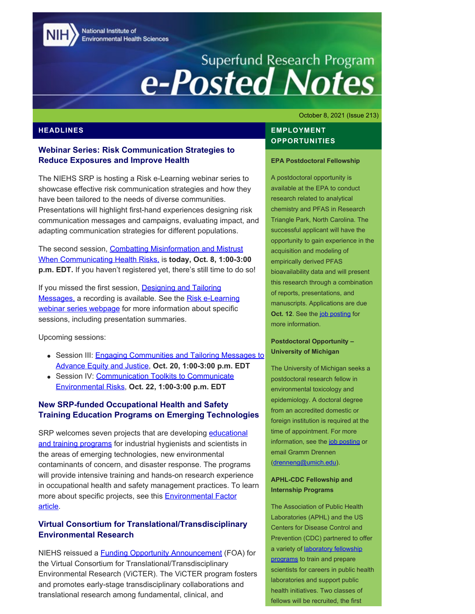National Institute of **Environmental Health Sciences** 

# Superfund Research Program<br> **e-Posted Notes**

October 8, 2021 (Issue 213)

# **Webinar Series: Risk Communication Strategies to Reduce Exposures and Improve Health**

The NIEHS SRP is hosting a Risk e-Learning webinar series to showcase effective risk communication strategies and how they have been tailored to the needs of diverse communities. Presentations will highlight first-hand experiences designing risk communication messages and campaigns, evaluating impact, and adapting communication strategies for different populations.

The second session, [Combatting Misinformation and Mistrust](https://clu-in.org/conf/tio/SRPREIH2/) [When Communicating Health Risks,](https://clu-in.org/conf/tio/SRPREIH2/) is **today, Oct. 8, 1:00-3:00 p.m. EDT.** If you haven't registered yet, there's still time to do so!

If you missed the first session, [Designing and Tailoring](https://clu-in.org/conf/tio/SRPREIH1_092421/) [Messages,](https://clu-in.org/conf/tio/SRPREIH1_092421/) a recording is available. See the [Risk e-Learning](https://www.niehs.nih.gov/research/supported/centers/srp/events/riskelearning/reduce_exposures/index.cfm) [webinar series webpage](https://www.niehs.nih.gov/research/supported/centers/srp/events/riskelearning/reduce_exposures/index.cfm) for more information about specific sessions, including presentation summaries.

Upcoming sessions:

- Session III: [Engaging Communities and Tailoring Messages to](https://clu-in.org/conf/tio/SRPREIH3/) [Advance Equity and Justice](https://clu-in.org/conf/tio/SRPREIH3/), **Oct. 20, 1:00-3:00 p.m. EDT**
- Session IV: [Communication Toolkits to Communicate](https://clu-in.org/conf/tio/SRPREIH4/) [Environmental Risks,](https://clu-in.org/conf/tio/SRPREIH4/) **Oct. 22, 1:00-3:00 p.m. EDT**

# **New SRP-funded Occupational Health and Safety Training Education Programs on Emerging Technologies**

SRP welcomes seven projects that are developing [educational](https://tools.niehs.nih.gov/srp/programs/r25current.cfm) [and training programs](https://tools.niehs.nih.gov/srp/programs/r25current.cfm) for industrial hygienists and scientists in the areas of emerging technologies, new environmental contaminants of concern, and disaster response. The programs will provide intensive training and hands-on research experience in occupational health and safety management practices. To learn more about specific projects, see this **Environmental Factor** [article.](https://factor.niehs.nih.gov/2021/10/community-impact/emerging-technology/index.htm)

# **Virtual Consortium for Translational/Transdisciplinary Environmental Research**

NIEHS reissued a [Funding Opportunity Announcement](https://grants.nih.gov/grants/guide/rfa-files/RFA-ES-21-007.html) (FOA) for the Virtual Consortium for Translational/Transdisciplinary Environmental Research (ViCTER). The ViCTER program fosters and promotes early-stage transdisciplinary collaborations and translational research among fundamental, clinical, and

# **HEADLINES EMPLOYMENT OPPORTUNITIES**

#### **EPA Postdoctoral Fellowship**

A postdoctoral opportunity is available at the EPA to conduct research related to analytical chemistry and PFAS in Research Triangle Park, North Carolina. The successful applicant will have the opportunity to gain experience in the acquisition and modeling of empirically derived PFAS bioavailability data and will present this research through a combination of reports, presentations, and manuscripts. Applications are due **Oct. 12.** See the [job posting](https://www.zintellect.com/Opportunity/Details/EPA-ORD-CEMM-WECD-2021-05) for more information.

# **Postdoctoral Opportunity – University of Michigan**

The University of Michigan seeks a postdoctoral research fellow in environmental toxicology and epidemiology. A doctoral degree from an accredited domestic or foreign institution is required at the time of appointment. For more information, see the [job posting](https://sph.umich.edu/ehs/etep/application.html) or email Gramm Drennen [\(drenneng@umich.edu](mailto:drenneng@umich.edu)).

# **APHL-CDC Fellowship and Internship Programs**

The Association of Public Health Laboratories (APHL) and the US Centers for Disease Control and Prevention (CDC) partnered to offer a variety of [laboratory fellowship](https://www.aphl.org/fellowships/Documents/APHL-Fellowships-Overview-Flyer.pdf) [programs](https://www.aphl.org/fellowships/Documents/APHL-Fellowships-Overview-Flyer.pdf) to train and prepare scientists for careers in public health laboratories and support public health initiatives. Two classes of fellows will be recruited, the first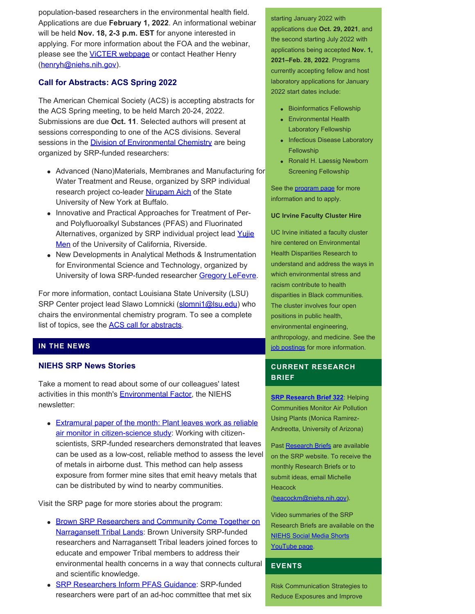population-based researchers in the environmental health field. Applications are due **February 1, 2022**. An informational webinar will be held **Nov. 18, 2-3 p.m. EST** for anyone interested in applying. For more information about the FOA and the webinar, please see the **VICTER webpage** or contact Heather Henry ([henryh@niehs.nih.gov\)](mailto:henryh@niehs.nih.gov).

# **Call for Abstracts: ACS Spring 2022**

The American Chemical Society (ACS) is accepting abstracts for the ACS Spring meeting, to be held March 20-24, 2022. Submissions are due **Oct. 11**. Selected authors will present at sessions corresponding to one of the ACS divisions. Several sessions in the **Division of Environmental Chemistry** are being organized by SRP-funded researchers:

- Advanced (Nano)Materials, Membranes and Manufacturing for Water Treatment and Reuse, organized by SRP individual research project co-leader [Nirupam Aich](https://tools.niehs.nih.gov/srp/people/details.cfm?person_id=51831) of the State University of New York at Buffalo.
- Innovative and Practical Approaches for Treatment of Perand Polyfluoroalkyl Substances (PFAS) and Fluorinated Alternatives, organized by SRP individual project lead [Yujie](https://tools.niehs.nih.gov/srp/people/details.cfm?Person_ID=50851) [Men](https://tools.niehs.nih.gov/srp/people/details.cfm?Person_ID=50851) of the University of California, Riverside.
- New Developments in Analytical Methods & Instrumentation for Environmental Science and Technology, organized by University of Iowa SRP-funded researcher [Gregory LeFevre.](https://tools.niehs.nih.gov/srp/people/details.cfm?person_id=46586)

For more information, contact Louisiana State University (LSU) SRP Center project lead Slawo Lomnicki [\(slomni1@lsu.edu](mailto:slomni1@lsu.edu)) who chairs the environmental chemistry program. To see a complete list of topics, see the [ACS call for abstracts](https://www.acs.org/content/acs/en/meetings/acs-meetings/abstract-submission/call-for-abstracts.html).

# **IN THE NEWS**

#### **NIEHS SRP News Stories**

Take a moment to read about some of our colleagues' latest activities in this month's **Environmental Factor**, the NIEHS newsletter:

• [Extramural paper of the month: Plant leaves work as reliable](https://factor.niehs.nih.gov/2021/10/papers/dert/index.htm#a2) [air monitor in citizen-science study](https://factor.niehs.nih.gov/2021/10/papers/dert/index.htm#a2): Working with citizenscientists, SRP-funded researchers demonstrated that leaves can be used as a low-cost, reliable method to assess the level of metals in airborne dust. This method can help assess exposure from former mine sites that emit heavy metals that can be distributed by wind to nearby communities.

Visit the SRP page for more stories about the program:

- [Brown SRP Researchers and Community Come Together on](https://www.niehs.nih.gov/research/supported/centers/srp/news/2021news/Brown%20field%20activities/index.cfm) **[Narragansett Tribal Lands:](https://www.niehs.nih.gov/research/supported/centers/srp/news/2021news/Brown%20field%20activities/index.cfm) Brown University SRP-funded** researchers and Narragansett Tribal leaders joined forces to educate and empower Tribal members to address their environmental health concerns in a way that connects cultural and scientific knowledge.
- **[SRP Researchers Inform PFAS Guidance:](https://www.niehs.nih.gov/research/supported/centers/srp/news/2021news/PFAS/index.cfm) SRP-funded** Risk Communication Strategies to researchers were part of an ad-hoc committee that met six Reduce Exposures and Improve

starting January 2022 with applications due **Oct. 29, 2021**, and the second starting July 2022 with applications being accepted **Nov. 1, 2021–Feb. 28, 2022**. Programs currently accepting fellow and host laboratory applications for January 2022 start dates include:

- Bioinformatics Fellowship
- Environmental Health Laboratory Fellowship
- Infectious Disease Laboratory Fellowship
- Ronald H. Laessig Newborn Screening Fellowship

See the **program** page for more information and to apply.

#### **UC Irvine Faculty Cluster Hire**

UC Irvine initiated a faculty cluster hire centered on Environmental Health Disparities Research to understand and address the ways in which environmental stress and racism contribute to health disparities in Black communities. The cluster involves four open positions in public health, environmental engineering, anthropology, and medicine. See the [job postings](https://sites.uci.edu/cehdr/386-2/) for more information.

# **CURRENT RESEARCH BRIEF**

**[SRP Research Brief 322](https://tools.niehs.nih.gov/srp/researchbriefs/view.cfm?Brief_ID=322)**: Helping Communities Monitor Air Pollution Using Plants (Monica Ramirez-Andreotta, University of Arizona)

Past [Research Briefs](http://tools.niehs.nih.gov/srp/researchbriefs/index.cfm) are available on the SRP website. To receive the monthly Research Briefs or to submit ideas, email Michelle **Heacock** [\(heacockm@niehs.nih.gov\)](mailto:heacockm@niehs.nih.gov).

Video summaries of the SRP Research Briefs are available on the [NIEHS Social Media Shorts](https://www.youtube.com/playlist?list=PLlo0xQLFI54GlGBHIWb3va3YrKAv16SZ8)  [YouTube page.](https://www.youtube.com/playlist?list=PLlo0xQLFI54GlGBHIWb3va3YrKAv16SZ8)

# **EVENTS**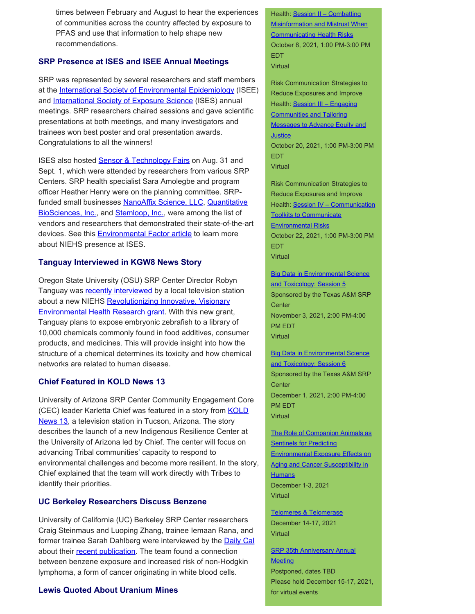times between February and August to hear the experiences of communities across the country affected by exposure to PFAS and use that information to help shape new recommendations.

# **SRP Presence at ISES and ISEE Annual Meetings**

SRP was represented by several researchers and staff members at the [International Society of Environmental Epidemiology](https://www.isee2021.org/) (ISEE) and **International Society of Exposure Science** (ISES) annual meetings. SRP researchers chaired sessions and gave scientific presentations at both meetings, and many investigators and trainees won best poster and oral presentation awards. Congratulations to all the winners!

ISES also hosted **Sensor & Technology Fairs** on Aug. 31 and Sept. 1, which were attended by researchers from various SRP Centers. SRP health specialist Sara Amolegbe and program officer Heather Henry were on the planning committee. SRP-funded small businesses [NanoAffix Science, LLC](https://tools.niehs.nih.gov/srp/programs/Program_detail.cfm?Project_ID=R44ES028656), [Quantitative](https://tools.niehs.nih.gov/srp/programs/Program_detail.cfm?Project_ID=R43ES028993) [BioSciences, Inc.](https://tools.niehs.nih.gov/srp/programs/Program_detail.cfm?Project_ID=R43ES028993), and [Stemloop, Inc.,](https://tools.niehs.nih.gov/srp/programs/Program_detail.cfm?Project_ID=R43ES031899) were among the list of vendors and researchers that demonstrated their state-of-the-art devices. See this [Environmental Factor article](https://factor.niehs.nih.gov/2021/10/feature/2-feature-ises-conference/index.htm) to learn more about NIEHS presence at ISES.

# **Tanguay Interviewed in KGW8 News Story**

Oregon State University (OSU) SRP Center Director Robyn Tanguay was [recently interviewed](https://www.kgw.com/video/news/local/researchers-to-test-thousands-of-chemicals-found-in-common-products/283-e9f2f02c-fef7-4ccb-ab1a-7034e736c212) by a local television station about a new NIEHS [Revolutionizing Innovative, Visionary](https://www.niehs.nih.gov/research/supported/training/river/index.cfm) [Environmental Health Research grant](https://www.niehs.nih.gov/research/supported/training/river/index.cfm). With this new grant, Tanguay plans to expose embryonic zebrafish to a library of 10,000 chemicals commonly found in food additives, consumer products, and medicines. This will provide insight into how the structure of a chemical determines its toxicity and how chemical networks are related to human disease.

#### **Chief Featured in KOLD News 13**

University of Arizona SRP Center Community Engagement Core (CEC) leader Karletta Chief was featured in a story from **KOLD** [News 13,](https://www.kold.com/2021/09/14/university-arizona-partners-with-native-american-nations-address-climate-change-issues/) a television station in Tucson, Arizona. The story describes the launch of a new Indigenous Resilience Center at the University of Arizona led by Chief. The center will focus on advancing Tribal communities' capacity to respond to environmental challenges and become more resilient. In the story, Chief explained that the team will work directly with Tribes to identify their priorities.

#### **UC Berkeley Researchers Discuss Benzene**

University of California (UC) Berkeley SRP Center researchers Craig Steinmaus and Luoping Zhang, trainee Iemaan Rana, and former trainee Sarah Dahlberg were interviewed by the **Daily Cal** about their [recent publication.](https://pubmed.ncbi.nlm.nih.gov/34450064/) The team found a connection between benzene exposure and increased risk of non-Hodgkin lymphoma, a form of cancer originating in white blood cells.

#### **Lewis Quoted About Uranium Mines**

Health: Session II - Combatting [Misinformation and Mistrust When](https://clu-in.org/conf/tio/SRPREIH2/)  **Communicating Health Risks** October 8, 2021, 1:00 PM-3:00 PM EDT **Virtual** 

Risk Communication Strategies to Reduce Exposures and Improve Health: Session III - Engaging [Communities and Tailoring](https://clu-in.org/conf/tio/SRPREIH3/)  [Messages to Advance Equity and](https://clu-in.org/conf/tio/SRPREIH3/)  **Justice** October 20, 2021, 1:00 PM-3:00 PM EDT **Virtual** 

Risk Communication Strategies to Reduce Exposures and Improve Health: [Session IV – Communication](https://clu-in.org/conf/tio/SRPREIH4/) [Toolkits to Communicate](https://clu-in.org/conf/tio/SRPREIH4/)  [Environmental Risks](https://clu-in.org/conf/tio/SRPREIH4/)  October 22, 2021, 1:00 PM-3:00 PM

EDT Virtual

**Big Data in Environmental Science** and Toxicology: Session 5 Sponsored by the Texas A&M SRP **Center** November 3, 2021, 2:00 PM-4:00 PM EDT Virtual

**Big Data in Environmental Science** and Toxicology: Session 6 Sponsored by the Texas A&M SRP **Center** December 1, 2021, 2:00 PM-4:00 PM EDT **Virtual** 

[The Role of Companion Animals as](https://www.nationalacademies.org/our-work/the-role-of-companion-animals-as-sentinels-for-predicting-environmental-exposure-effects-on-aging-and-cancer-susceptibility-in-humans-a-workshop)  **Sentinels for Predicting** [Environmental Exposure Effects on](https://www.nationalacademies.org/our-work/the-role-of-companion-animals-as-sentinels-for-predicting-environmental-exposure-effects-on-aging-and-cancer-susceptibility-in-humans-a-workshop) [Aging and Cancer Susceptibility in](https://www.nationalacademies.org/our-work/the-role-of-companion-animals-as-sentinels-for-predicting-environmental-exposure-effects-on-aging-and-cancer-susceptibility-in-humans-a-workshop)  **[Humans](https://www.nationalacademies.org/our-work/the-role-of-companion-animals-as-sentinels-for-predicting-environmental-exposure-effects-on-aging-and-cancer-susceptibility-in-humans-a-workshop)** December 1-3, 2021 Virtual

[Telomeres & Telomerase](https://meetings.cshl.edu/meetings.aspx?meet=telo&year=21) December 14-17, 2021 Virtual

**SRP 35th Anniversary Annual Meeting** Postponed, dates TBD Please hold December 15-17, 2021, for virtual events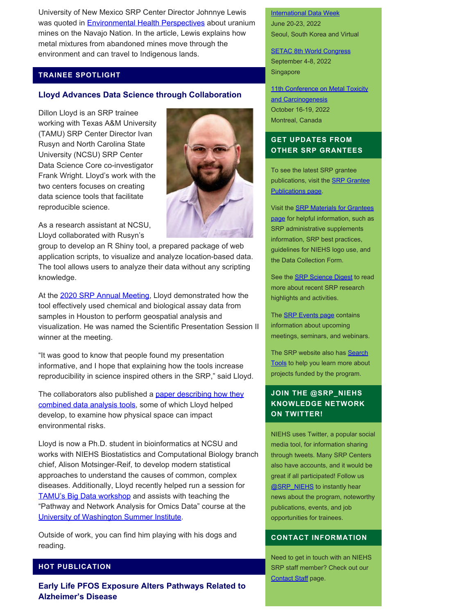University of New Mexico SRP Center Director Johnnye Lewis was quoted in **Environmental Health Perspectives** about uranium mines on the Navajo Nation. In the article, Lewis explains how metal mixtures from abandoned mines move through the environment and can travel to Indigenous lands.

### **TRAINEE SPOTLIGHT**

#### **Lloyd Advances Data Science through Collaboration**

Dillon Lloyd is an SRP trainee working with Texas A&M University (TAMU) SRP Center Director Ivan Rusyn and North Carolina State University (NCSU) SRP Center Data Science Core co-investigator Frank Wright. Lloyd's work with the two centers focuses on creating data science tools that facilitate reproducible science.



As a research assistant at NCSU, Lloyd collaborated with Rusyn's

group to develop an R Shiny tool, a prepared package of web application scripts, to visualize and analyze location-based data. The tool allows users to analyze their data without any scripting knowledge.

At the [2020 SRP Annual Meeting](https://srp2020.org/), Lloyd demonstrated how the tool effectively used chemical and biological assay data from samples in Houston to perform geospatial analysis and visualization. He was named the Scientific Presentation Session II winner at the meeting.

"It was good to know that people found my presentation informative, and I hope that explaining how the tools increase reproducibility in science inspired others in the SRP," said Lloyd.

The collaborators also published a [paper describing how they](https://pubmed.ncbi.nlm.nih.gov/33165562/) [combined data analysis tools,](https://pubmed.ncbi.nlm.nih.gov/33165562/) some of which Lloyd helped develop, to examine how physical space can impact environmental risks.

Lloyd is now a Ph.D. student in bioinformatics at NCSU and works with NIEHS Biostatistics and Computational Biology branch chief, Alison Motsinger-Reif, to develop modern statistical approaches to understand the causes of common, complex diseases. Additionally, Lloyd recently helped run a session for [TAMU's Big Data workshop](https://superfund.tamu.edu/big-data-series-2021/) and assists with teaching the "Pathway and Network Analysis for Omics Data" course at the [University of Washington Summer Institute.](https://si.biostat.washington.edu/suminst/sisbid)

Outside of work, you can find him playing with his dogs and reading.

### **HOT PUBLICATION**

**Early Life PFOS Exposure Alters Pathways Related to Alzheimer's Disease** 

[International Data Week](https://internationaldataweek.org/)  June 20-23, 2022 Seoul, South Korea and Virtual

**[SETAC 8th World Congress](https://singapore.setac.org/)** September 4-8, 2022 Singapore

11th Conference on Metal Toxicity [and Carcinogenesis](https://www.fourwav.es/view/1725/info/)  October 16-19, 2022 Montreal, Canada

# **GET UPDATES FROM OTHER SRP GRANTEES**

To see the latest SRP grantee publications, visit the [SRP Grantee](https://tools.niehs.nih.gov/srp/publications/granteepublications.cfm)  [Publications page.](https://tools.niehs.nih.gov/srp/publications/granteepublications.cfm)

Visit the [SRP Materials for Grantees](https://www.niehs.nih.gov/research/supported/centers/srp/resources/index.cfm) [page](https://www.niehs.nih.gov/research/supported/centers/srp/resources/index.cfm) for helpful information, such as SRP administrative supplements information, SRP best practices, guidelines for NIEHS logo use, and the Data Collection Form.

See the **SRP Science Digest** to read more about recent SRP research highlights and activities.

The **SRP Events page** contains information about upcoming meetings, seminars, and webinars.

The SRP website also has Search [Tools](http://tools.niehs.nih.gov/srp/search/index.cfm) to help you learn more about projects funded by the program.

# **JOIN THE @SRP\_NIEHS KNOWLEDGE NETWORK ON TWITTER!**

NIEHS uses Twitter, a popular social media tool, for information sharing through tweets. Many SRP Centers also have accounts, and it would be great if all participated! Follow us **@SRP\_NIEHS** to instantly hear news about the program, noteworthy publications, events, and job opportunities for trainees.

#### **CONTACT INFORMATION**

Need to get in touch with an NIEHS SRP staff member? Check out our [Contact Staff](https://www.niehs.nih.gov/research/supported/centers/srp/about/contact_us/index.cfm) page.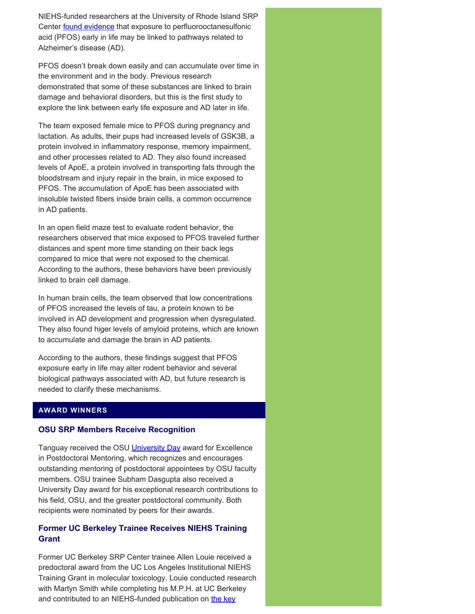NIEHS-funded researchers at the University of Rhode Island SRP Center [found evidence](https://pubmed.ncbi.nlm.nih.gov/34224775/) that exposure to perfluorooctanesulfonic acid (PFOS) early in life may be linked to pathways related to Alzheimer's disease (AD).

PFOS doesn't break down easily and can accumulate over time in the environment and in the body. Previous research demonstrated that some of these substances are linked to brain damage and behavioral disorders, but this is the first study to explore the link between early life exposure and AD later in life.

The team exposed female mice to PFOS during pregnancy and lactation. As adults, their pups had increased levels of GSK3B, a protein involved in inflammatory response, memory impairment, and other processes related to AD. They also found increased levels of ApoE, a protein involved in transporting fats through the bloodstream and injury repair in the brain, in mice exposed to PFOS. The accumulation of ApoE has been associated with insoluble twisted fibers inside brain cells, a common occurrence in AD patients.

In an open field maze test to evaluate rodent behavior, the researchers observed that mice exposed to PFOS traveled further distances and spent more time standing on their back legs compared to mice that were not exposed to the chemical. According to the authors, these behaviors have been previously linked to brain cell damage.

In human brain cells, the team observed that low concentrations of PFOS increased the levels of tau, a protein known to be involved in AD development and progression when dysregulated. They also found higer levels of amyloid proteins, which are known to accumulate and damage the brain in AD patients.

According to the authors, these findings suggest that PFOS exposure early in life may alter rodent behavior and several biological pathways associated with AD, but future research is needed to clarify these mechanisms.

# **AWARD WINNERS**

#### **OSU SRP Members Receive Recognition**

Tanguay received the OSU [University Day](https://universityday.oregonstate.edu/) award for Excellence in Postdoctoral Mentoring, which recognizes and encourages outstanding mentoring of postdoctoral appointees by OSU faculty members. OSU trainee Subham Dasgupta also received a University Day award for his exceptional research contributions to his field, OSU, and the greater postdoctoral community. Both recipients were nominated by peers for their awards.

# **Former UC Berkeley Trainee Receives NIEHS Training Grant**

Former UC Berkeley SRP Center trainee Allen Louie received a predoctoral award from the UC Los Angeles Institutional NIEHS Training Grant in molecular toxicology. Louie conducted research with Martyn Smith while completing his M.P.H. at UC Berkeley and contributed to an NIEHS-funded publication on [the key](https://www.ncbi.nlm.nih.gov/pmc/articles/PMC4892922/)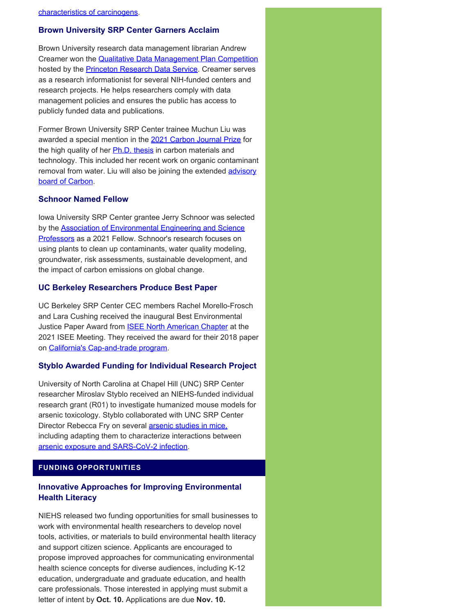#### **Brown University SRP Center Garners Acclaim**

Brown University research data management librarian Andrew Creamer won the [Qualitative Data Management Plan Competition](https://qdr.syr.edu/qdr-blog/dmp-competition-winners-dmps-so-good-they-go-11)  hosted by the [Princeton Research Data Service](https://researchdata.princeton.edu/). Creamer serves as a research informationist for several NIH-funded centers and research projects. He helps researchers comply with data management policies and ensures the public has access to publicly funded data and publications.

Former Brown University SRP Center trainee Muchun Liu was awarded a special mention in the [2021 Carbon Journal Prize](https://www.journals.elsevier.com/carbon/awards/2021-carbon-journal-prize-winners-announced) for the high quality of her **Ph.D. thesis** in carbon materials and technology. This included her recent work on organic contaminant removal from water. Liu will also be joining the extended [advisory](https://www.journals.elsevier.com/carbon/editorial-board) [board of Carbon.](https://www.journals.elsevier.com/carbon/editorial-board)

#### **Schnoor Named Fellow**

Iowa University SRP Center grantee Jerry Schnoor was selected by the **[Association of Environmental Engineering and Science](https://www.aeesp.org/aeesp-fellows)** [Professors](https://www.aeesp.org/aeesp-fellows) as a 2021 Fellow. Schnoor's research focuses on using plants to clean up contaminants, water quality modeling, groundwater, risk assessments, sustainable development, and the impact of carbon emissions on global change.

#### **UC Berkeley Researchers Produce Best Paper**

UC Berkeley SRP Center CEC members Rachel Morello-Frosch and Lara Cushing received the inaugural Best Environmental Justice Paper Award from **ISEE North American Chapter** at the 2021 ISEE Meeting. They received the award for their 2018 paper on [California's Cap-and-trade program](https://pubmed.ncbi.nlm.nih.gov/29990353/).

#### **Styblo Awarded Funding for Individual Research Project**

University of North Carolina at Chapel Hill (UNC) SRP Center researcher Miroslav Styblo received an NIEHS-funded individual research grant (R01) to investigate humanized mouse models for arsenic toxicology. Styblo collaborated with UNC SRP Center Director Rebecca Fry on several **arsenic studies in mice**, including adapting them to characterize interactions between [arsenic exposure and SARS-CoV-2 infection.](https://www.niehs.nih.gov/research/supported/centers/srp/programs/special/index.cfm)

# **FUNDING OPPORTUNITIES**

# **Innovative Approaches for Improving Environmental Health Literacy**

NIEHS released two funding opportunities for small businesses to work with environmental health researchers to develop novel tools, activities, or materials to build environmental health literacy and support citizen science. Applicants are encouraged to propose improved approaches for communicating environmental health science concepts for diverse audiences, including K-12 education, undergraduate and graduate education, and health care professionals. Those interested in applying must submit a letter of intent by **Oct. 10.** Applications are due **Nov. 10.**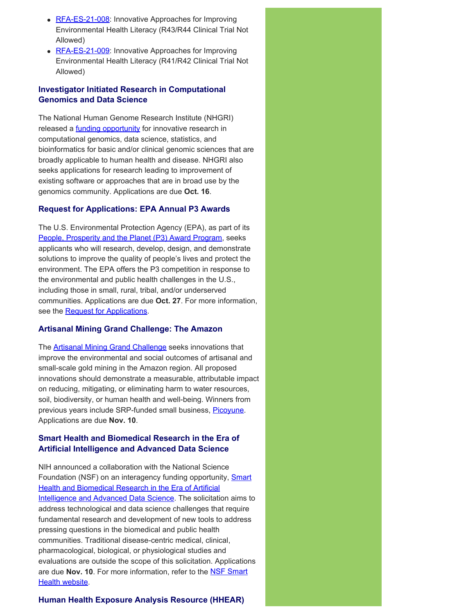- [RFA-ES-21-008](https://grants.nih.gov/grants/guide/rfa-files/RFA-ES-21-008.html): Innovative Approaches for Improving Environmental Health Literacy (R43/R44 Clinical Trial Not Allowed)
- [RFA-ES-21-009](https://grants.nih.gov/grants/guide/rfa-files/rfa-es-21-009.html): Innovative Approaches for Improving Environmental Health Literacy (R41/R42 Clinical Trial Not Allowed)

# **Investigator Initiated Research in Computational Genomics and Data Science**

The National Human Genome Research Institute (NHGRI) released a **funding opportunity** for innovative research in computational genomics, data science, statistics, and bioinformatics for basic and/or clinical genomic sciences that are broadly applicable to human health and disease. NHGRI also seeks applications for research leading to improvement of existing software or approaches that are in broad use by the genomics community. Applications are due **Oct. 16**.

#### **Request for Applications: EPA Annual P3 Awards**

The U.S. Environmental Protection Agency (EPA), as part of its [People, Prosperity and the Planet \(P3\) Award Program](https://www.epa.gov/P3), seeks applicants who will research, develop, design, and demonstrate solutions to improve the quality of people's lives and protect the environment. The EPA offers the P3 competition in response to the environmental and public health challenges in the U.S., including those in small, rural, tribal, and/or underserved communities. Applications are due **Oct. 27**. For more information, see the **Request for Applications**.

#### **Artisanal Mining Grand Challenge: The Amazon**

The **Artisanal Mining Grand Challenge** seeks innovations that improve the environmental and social outcomes of artisanal and small-scale gold mining in the Amazon region. All proposed innovations should demonstrate a measurable, attributable impact on reducing, mitigating, or eliminating harm to water resources, soil, biodiversity, or human health and well-being. Winners from previous years include SRP-funded small business, [Picoyune](https://www.niehs.nih.gov/research/supported/centers/srp/science_digest/2020/12/technology/index.cfm). Applications are due **Nov. 10**.

# **Smart Health and Biomedical Research in the Era of Artificial Intelligence and Advanced Data Science**

NIH announced a collaboration with the National Science Foundation (NSF) on an interagency funding opportunity, **Smart** [Health and Biomedical Research in the Era of Artificial](https://grants.nih.gov/grants/guide/notice-files/NOT-OD-21-011.html)  [Intelligence and Advanced Data Science.](https://grants.nih.gov/grants/guide/notice-files/NOT-OD-21-011.html) The solicitation aims to address technological and data science challenges that require fundamental research and development of new tools to address pressing questions in the biomedical and public health communities. Traditional disease-centric medical, clinical, pharmacological, biological, or physiological studies and evaluations are outside the scope of this solicitation. Applications are due **Nov. 10**. For more information, refer to the [NSF Smart](https://www.nsf.gov/pubs/2021/nsf21530/nsf21530.htm) [Health website.](https://www.nsf.gov/pubs/2021/nsf21530/nsf21530.htm)

#### **Human Health Exposure Analysis Resource (HHEAR)**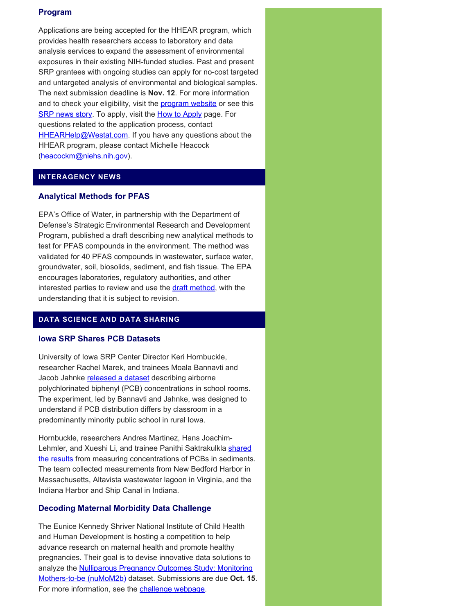# **Program**

Applications are being accepted for the HHEAR program, which provides health researchers access to laboratory and data analysis services to expand the assessment of environmental exposures in their existing NIH-funded studies. Past and present SRP grantees with ongoing studies can apply for no-cost targeted and untargeted analysis of environmental and biological samples. The next submission deadline is **Nov. 12**. For more information and to check your eligibility, visit the **program website** or see this [SRP news story.](https://www.niehs.nih.gov/research/supported/centers/srp/news/2021news/HHEAR/index.cfm) To apply, visit the **[How to Apply](https://hhearprogram.org/index.php/how-apply)** page. For questions related to the application process, contact **[HHEARHelp@Westat.com.](mailto:HHEARHelp@Westat.com)** If you have any questions about the HHEAR program, please contact Michelle Heacock ([heacockm@niehs.nih.gov\)](mailto:heacockm@niehs.nih.gov).

# **INTERAGENCY NEWS**

# **Analytical Methods for PFAS**

EPA's Office of Water, in partnership with the Department of Defense's Strategic Environmental Research and Development Program, published a draft describing new analytical methods to test for PFAS compounds in the environment. The method was validated for 40 PFAS compounds in wastewater, surface water, groundwater, soil, biosolids, sediment, and fish tissue. The EPA encourages laboratories, regulatory authorities, and other interested parties to review and use the [draft method](https://www.epa.gov/cwa-methods/cwa-analytical-methods-and-polyfluorinated-alkyl-substances-pfas), with the understanding that it is subject to revision.

# **DATA SCIENCE AND DATA SHARING**

#### **Iowa SRP Shares PCB Datasets**

University of Iowa SRP Center Director Keri Hornbuckle, researcher Rachel Marek, and trainees Moala Bannavti and Jacob Jahnke [released a dataset](https://iro.uiowa.edu/esploro/outputs/dataset/Dataset-for-Room-to-Room-Variability-of-Airborne/9984002271602771) describing airborne polychlorinated biphenyl (PCB) concentrations in school rooms. The experiment, led by Bannavti and Jahnke, was designed to understand if PCB distribution differs by classroom in a predominantly minority public school in rural Iowa.

Hornbuckle, researchers Andres Martinez, Hans JoachimLehmler, and Xueshi Li, and trainee Panithi Saktrakulkla [shared](https://iro.uiowa.edu/esploro/outputs/dataset/Dataset-for-hydroxylated-polychlorinated-biphenyls-are/9984084300302771) [the results](https://iro.uiowa.edu/esploro/outputs/dataset/Dataset-for-hydroxylated-polychlorinated-biphenyls-are/9984084300302771) from measuring concentrations of PCBs in sediments. The team collected measurements from New Bedford Harbor in Massachusetts, Altavista wastewater lagoon in Virginia, and the Indiana Harbor and Ship Canal in Indiana.

#### **Decoding Maternal Morbidity Data Challenge**

The Eunice Kennedy Shriver National Institute of Child Health and Human Development is hosting a competition to help advance research on maternal health and promote healthy pregnancies. Their goal is to devise innovative data solutions to analyze the **Nulliparous Pregnancy Outcomes Study: Monitoring** [Mothers-to-be \(nuMoM2b\)](https://www.nichd.nih.gov/research/supported/nuMoM2b) dataset. Submissions are due **Oct. 15**. For more information, see the [challenge webpage](https://www.challenge.gov/challenge/decoding-maternal-morbidity-data-challenge/).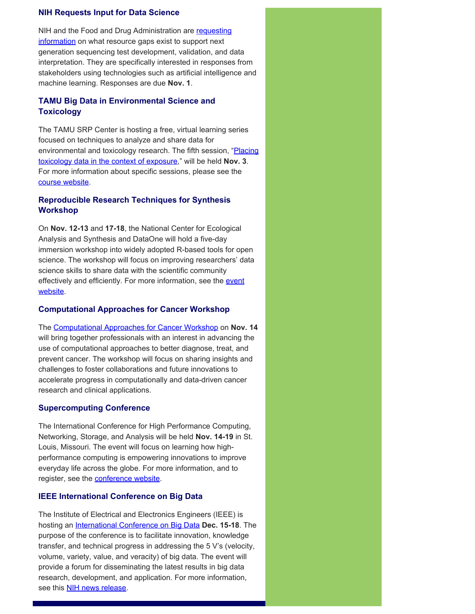#### **NIH Requests Input for Data Science**

NIH and the Food and Drug Administration are [requesting](https://grants.nih.gov/grants/guide/notice-files/NOT-OD-21-162.html) [information](https://grants.nih.gov/grants/guide/notice-files/NOT-OD-21-162.html) on what resource gaps exist to support next generation sequencing test development, validation, and data interpretation. They are specifically interested in responses from stakeholders using technologies such as artificial intelligence and machine learning. Responses are due **Nov. 1**.

# **TAMU Big Data in Environmental Science and Toxicology**

The TAMU SRP Center is hosting a free, virtual learning series focused on techniques to analyze and share data for environmental and toxicology research. The fifth session, "Placing [toxicology data in the context of exposure,](https://superfund.tamu.edu/big-data-session-5-nov-3-2021/)" will be held **Nov. 3**. For more information about specific sessions, please see the [course website.](https://superfund.tamu.edu/big-data-series-2021/)

# **Reproducible Research Techniques for Synthesis Workshop**

On **Nov. 12-13** and **17-18**, the National Center for Ecological Analysis and Synthesis and DataOne will hold a five-day immersion workshop into widely adopted R-based tools for open science. The workshop will focus on improving researchers' data science skills to share data with the scientific community effectively and efficiently. For more information, see the [event](https://www.dataone.org/training/#upcoming-training) [website.](https://www.dataone.org/training/#upcoming-training)

# **Computational Approaches for Cancer Workshop**

The [Computational Approaches for Cancer Workshop](https://ncihub.org/groups/cafcw/cafcw21) on **Nov. 14**  will bring together professionals with an interest in advancing the use of computational approaches to better diagnose, treat, and prevent cancer. The workshop will focus on sharing insights and challenges to foster collaborations and future innovations to accelerate progress in computationally and data-driven cancer research and clinical applications.

# **Supercomputing Conference**

The International Conference for High Performance Computing, Networking, Storage, and Analysis will be held **Nov. 14-19** in St. Louis, Missouri. The event will focus on learning how highperformance computing is empowering innovations to improve everyday life across the globe. For more information, and to register, see the [conference website](https://sc21.supercomputing.org/).

# **IEEE International Conference on Big Data**

The Institute of Electrical and Electronics Engineers (IEEE) is hosting an [International Conference on Big Data](https://bigdataieee.org/BigData2021/) **Dec. 15-18**. The purpose of the conference is to facilitate innovation, knowledge transfer, and technical progress in addressing the 5 V's (velocity, volume, variety, value, and veracity) of big data. The event will provide a forum for disseminating the latest results in big data research, development, and application. For more information, see this [NIH news release.](https://datascience.nih.gov/news/ieee-bigdata-2021)